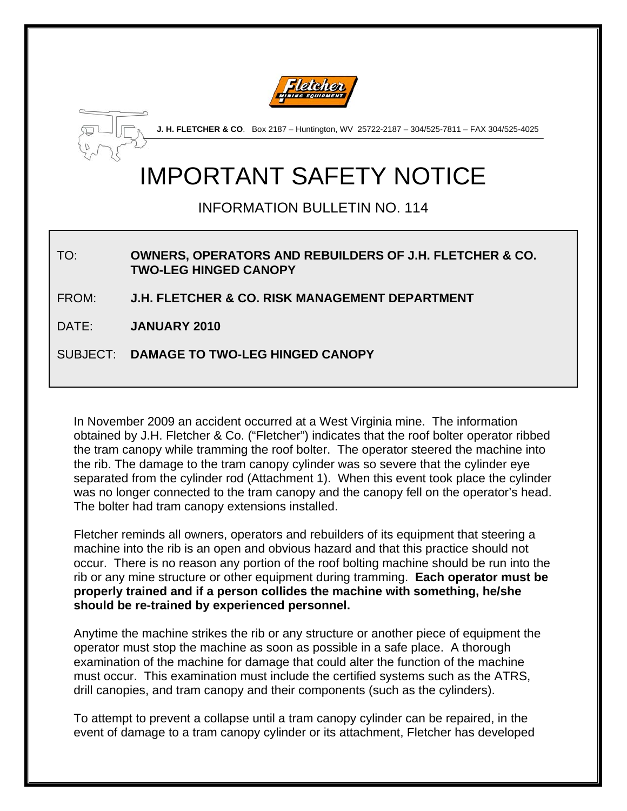



**J. H. FLETCHER & CO**. Box 2187 – Huntington, WV 25722-2187 – 304/525-7811 – FAX 304/525-4025

# IMPORTANT SAFETY NOTICE

INFORMATION BULLETIN NO. 114

#### TO: **OWNERS, OPERATORS AND REBUILDERS OF J.H. FLETCHER & CO. TWO-LEG HINGED CANOPY**

FROM: **J.H. FLETCHER & CO. RISK MANAGEMENT DEPARTMENT** 

DATE: **JANUARY 2010** 

SUBJECT: **DAMAGE TO TWO-LEG HINGED CANOPY**

In November 2009 an accident occurred at a West Virginia mine. The information obtained by J.H. Fletcher & Co. ("Fletcher") indicates that the roof bolter operator ribbed the tram canopy while tramming the roof bolter. The operator steered the machine into the rib. The damage to the tram canopy cylinder was so severe that the cylinder eye separated from the cylinder rod (Attachment 1). When this event took place the cylinder was no longer connected to the tram canopy and the canopy fell on the operator's head. The bolter had tram canopy extensions installed.

Fletcher reminds all owners, operators and rebuilders of its equipment that steering a machine into the rib is an open and obvious hazard and that this practice should not occur. There is no reason any portion of the roof bolting machine should be run into the rib or any mine structure or other equipment during tramming. **Each operator must be properly trained and if a person collides the machine with something, he/she should be re-trained by experienced personnel.** 

Anytime the machine strikes the rib or any structure or another piece of equipment the operator must stop the machine as soon as possible in a safe place. A thorough examination of the machine for damage that could alter the function of the machine must occur. This examination must include the certified systems such as the ATRS, drill canopies, and tram canopy and their components (such as the cylinders).

To attempt to prevent a collapse until a tram canopy cylinder can be repaired, in the event of damage to a tram canopy cylinder or its attachment, Fletcher has developed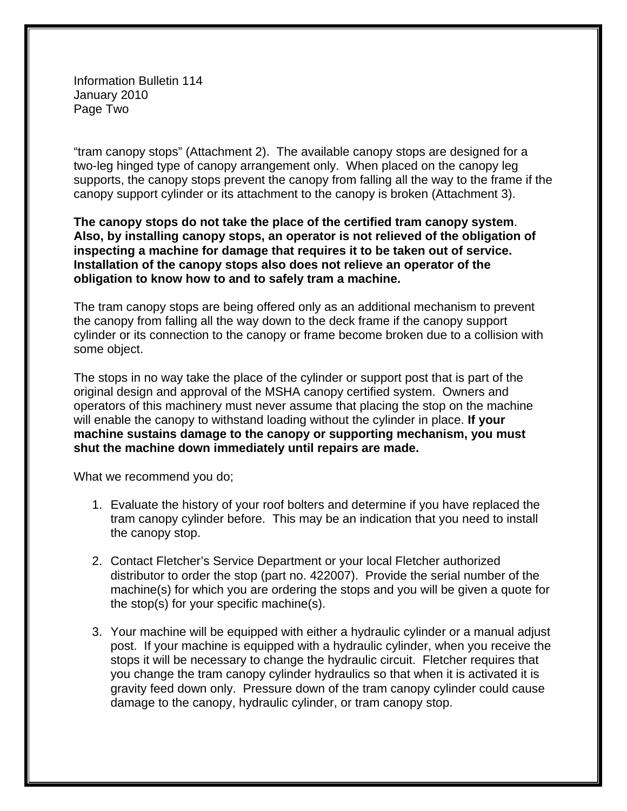Information Bulletin 114 January 2010 Page Two

"tram canopy stops" (Attachment 2). The available canopy stops are designed for a two-leg hinged type of canopy arrangement only. When placed on the canopy leg supports, the canopy stops prevent the canopy from falling all the way to the frame if the canopy support cylinder or its attachment to the canopy is broken (Attachment 3).

**The canopy stops do not take the place of the certified tram canopy system**. **Also, by installing canopy stops, an operator is not relieved of the obligation of inspecting a machine for damage that requires it to be taken out of service. Installation of the canopy stops also does not relieve an operator of the obligation to know how to and to safely tram a machine.** 

The tram canopy stops are being offered only as an additional mechanism to prevent the canopy from falling all the way down to the deck frame if the canopy support cylinder or its connection to the canopy or frame become broken due to a collision with some object.

The stops in no way take the place of the cylinder or support post that is part of the original design and approval of the MSHA canopy certified system. Owners and operators of this machinery must never assume that placing the stop on the machine will enable the canopy to withstand loading without the cylinder in place. **If your machine sustains damage to the canopy or supporting mechanism, you must shut the machine down immediately until repairs are made.** 

What we recommend you do;

- 1. Evaluate the history of your roof bolters and determine if you have replaced the tram canopy cylinder before. This may be an indication that you need to install the canopy stop.
- 2. Contact Fletcher's Service Department or your local Fletcher authorized distributor to order the stop (part no. 422007). Provide the serial number of the machine(s) for which you are ordering the stops and you will be given a quote for the stop(s) for your specific machine(s).
- 3. Your machine will be equipped with either a hydraulic cylinder or a manual adjust post. If your machine is equipped with a hydraulic cylinder, when you receive the stops it will be necessary to change the hydraulic circuit. Fletcher requires that you change the tram canopy cylinder hydraulics so that when it is activated it is gravity feed down only. Pressure down of the tram canopy cylinder could cause damage to the canopy, hydraulic cylinder, or tram canopy stop.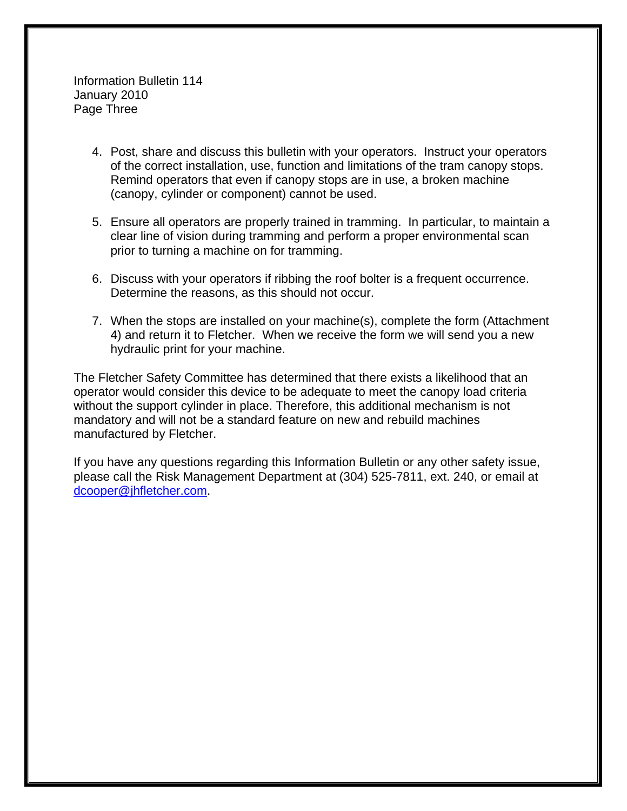Information Bulletin 114 January 2010 Page Three

- 4. Post, share and discuss this bulletin with your operators. Instruct your operators of the correct installation, use, function and limitations of the tram canopy stops. Remind operators that even if canopy stops are in use, a broken machine (canopy, cylinder or component) cannot be used.
- 5. Ensure all operators are properly trained in tramming. In particular, to maintain a clear line of vision during tramming and perform a proper environmental scan prior to turning a machine on for tramming.
- 6. Discuss with your operators if ribbing the roof bolter is a frequent occurrence. Determine the reasons, as this should not occur.
- 7. When the stops are installed on your machine(s), complete the form (Attachment 4) and return it to Fletcher. When we receive the form we will send you a new hydraulic print for your machine.

The Fletcher Safety Committee has determined that there exists a likelihood that an operator would consider this device to be adequate to meet the canopy load criteria without the support cylinder in place. Therefore, this additional mechanism is not mandatory and will not be a standard feature on new and rebuild machines manufactured by Fletcher.

If you have any questions regarding this Information Bulletin or any other safety issue, please call the Risk Management Department at (304) 525-7811, ext. 240, or email at [dcooper@jhfletcher.com](mailto:dcoooper@jhfletcher.com).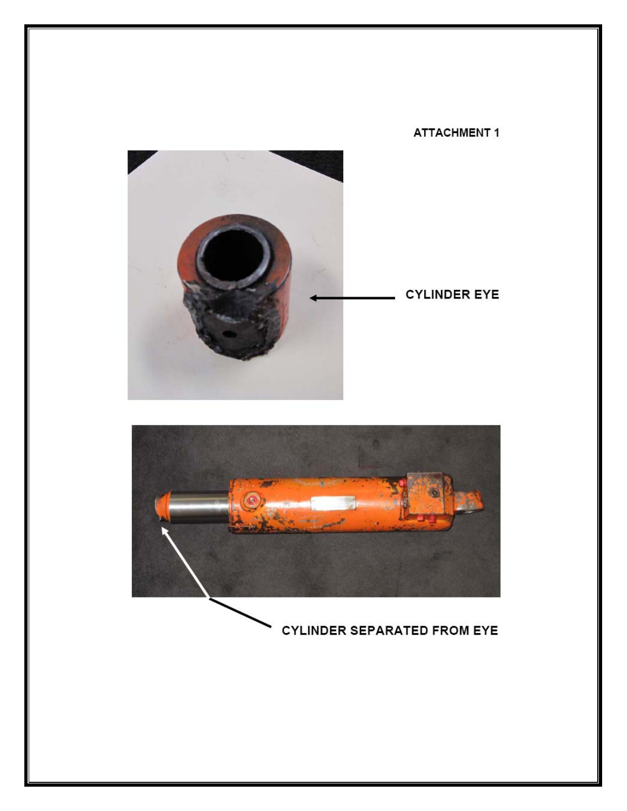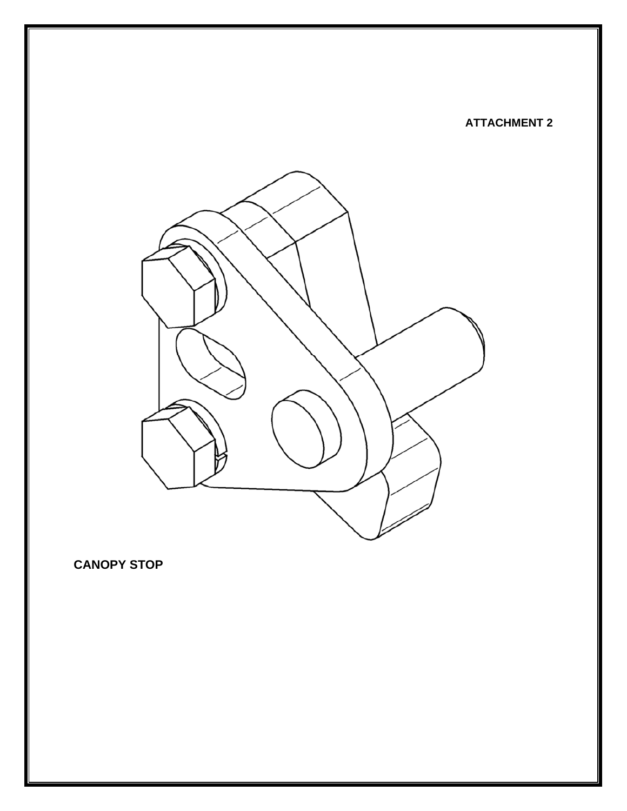#### **ATTACHMENT 2**



**CANOPY STOP**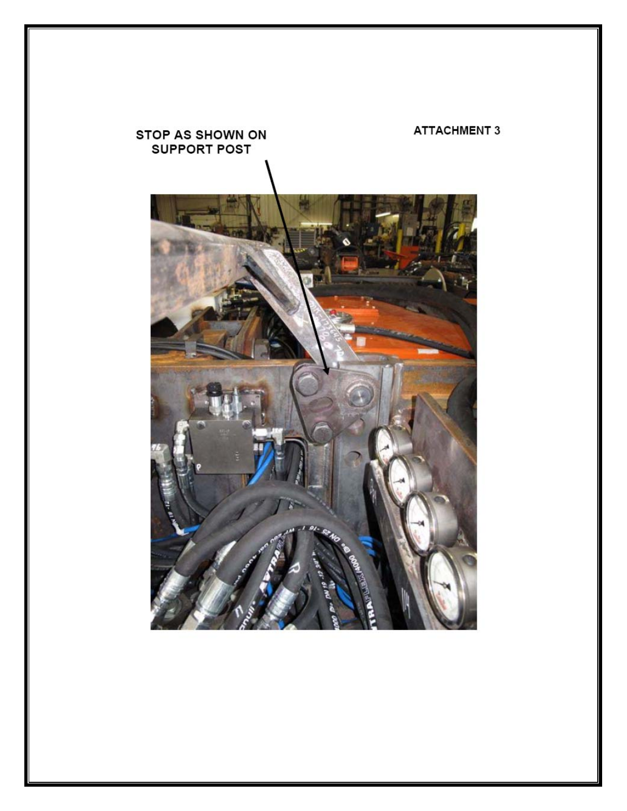